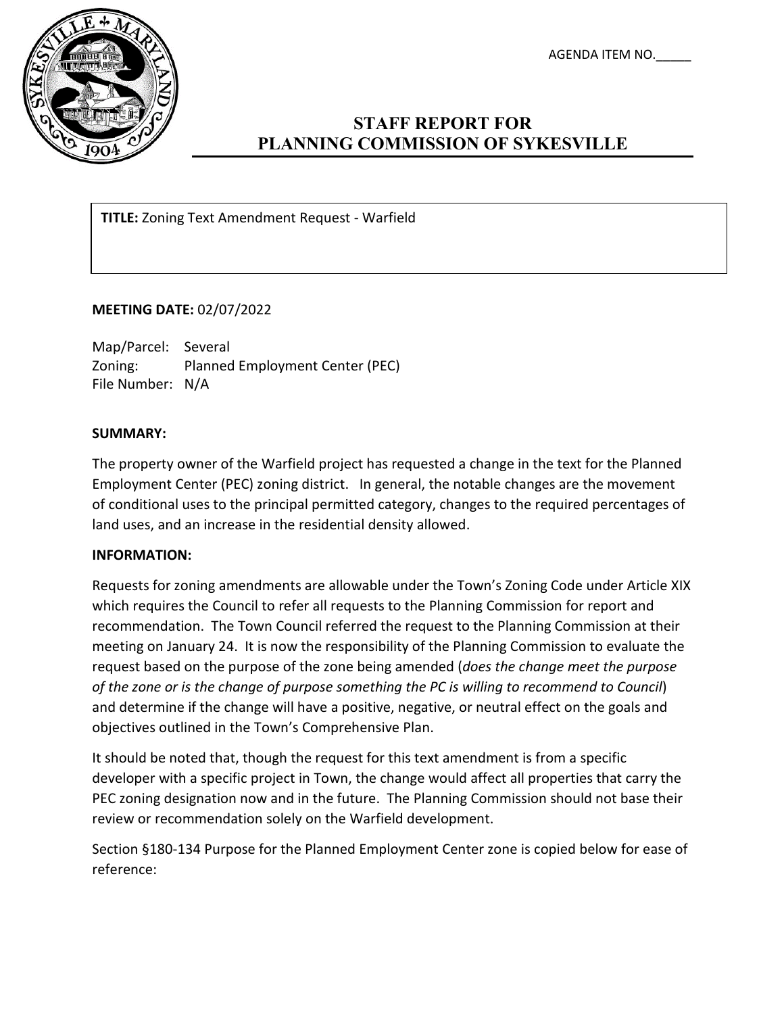AGENDA ITEM NO.\_\_\_\_\_



# **STAFF REPORT FOR PLANNING COMMISSION OF SYKESVILLE**

**TITLE:** Zoning Text Amendment Request - Warfield

## **MEETING DATE:** 02/07/2022

Map/Parcel: Several Zoning: Planned Employment Center (PEC) File Number: N/A

#### **SUMMARY:**

The property owner of the Warfield project has requested a change in the text for the Planned Employment Center (PEC) zoning district. In general, the notable changes are the movement of conditional uses to the principal permitted category, changes to the required percentages of land uses, and an increase in the residential density allowed.

#### **INFORMATION:**

Requests for zoning amendments are allowable under the Town's Zoning Code under Article XIX which requires the Council to refer all requests to the Planning Commission for report and recommendation. The Town Council referred the request to the Planning Commission at their meeting on January 24. It is now the responsibility of the Planning Commission to evaluate the request based on the purpose of the zone being amended (*does the change meet the purpose of the zone or is the change of purpose something the PC is willing to recommend to Council*) and determine if the change will have a positive, negative, or neutral effect on the goals and objectives outlined in the Town's Comprehensive Plan.

It should be noted that, though the request for this text amendment is from a specific developer with a specific project in Town, the change would affect all properties that carry the PEC zoning designation now and in the future. The Planning Commission should not base their review or recommendation solely on the Warfield development.

Section §180-134 Purpose for the Planned Employment Center zone is copied below for ease of reference: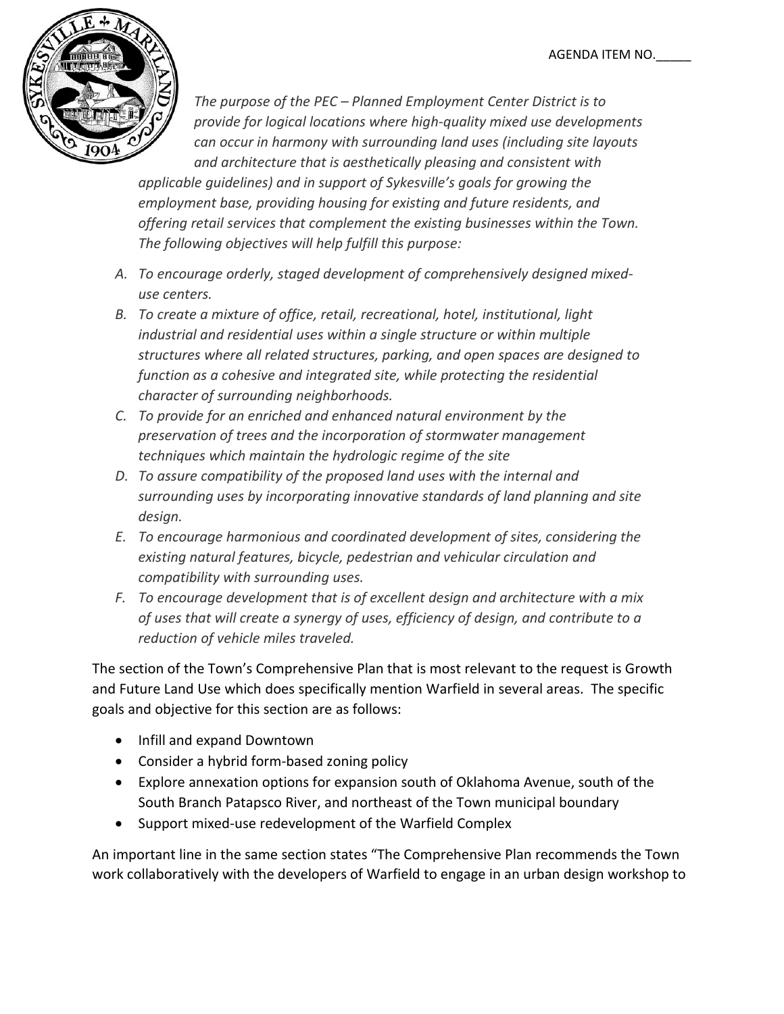

*The purpose of the PEC – Planned Employment Center District is to provide for logical locations where high-quality mixed use developments can occur in harmony with surrounding land uses (including site layouts and architecture that is aesthetically pleasing and consistent with* 

*applicable guidelines) and in support of Sykesville's goals for growing the employment base, providing housing for existing and future residents, and offering retail services that complement the existing businesses within the Town. The following objectives will help fulfill this purpose:*

- *A. To encourage orderly, staged development of comprehensively designed mixeduse centers.*
- *B. To create a mixture of office, retail, recreational, hotel, institutional, light industrial and residential uses within a single structure or within multiple structures where all related structures, parking, and open spaces are designed to function as a cohesive and integrated site, while protecting the residential character of surrounding neighborhoods.*
- *C. To provide for an enriched and enhanced natural environment by the preservation of trees and the incorporation of stormwater management techniques which maintain the hydrologic regime of the site*
- *D. To assure compatibility of the proposed land uses with the internal and surrounding uses by incorporating innovative standards of land planning and site design.*
- *E. To encourage harmonious and coordinated development of sites, considering the existing natural features, bicycle, pedestrian and vehicular circulation and compatibility with surrounding uses.*
- *F. To encourage development that is of excellent design and architecture with a mix of uses that will create a synergy of uses, efficiency of design, and contribute to a reduction of vehicle miles traveled.*

The section of the Town's Comprehensive Plan that is most relevant to the request is Growth and Future Land Use which does specifically mention Warfield in several areas. The specific goals and objective for this section are as follows:

- Infill and expand Downtown
- Consider a hybrid form-based zoning policy
- Explore annexation options for expansion south of Oklahoma Avenue, south of the South Branch Patapsco River, and northeast of the Town municipal boundary
- Support mixed-use redevelopment of the Warfield Complex

An important line in the same section states "The Comprehensive Plan recommends the Town work collaboratively with the developers of Warfield to engage in an urban design workshop to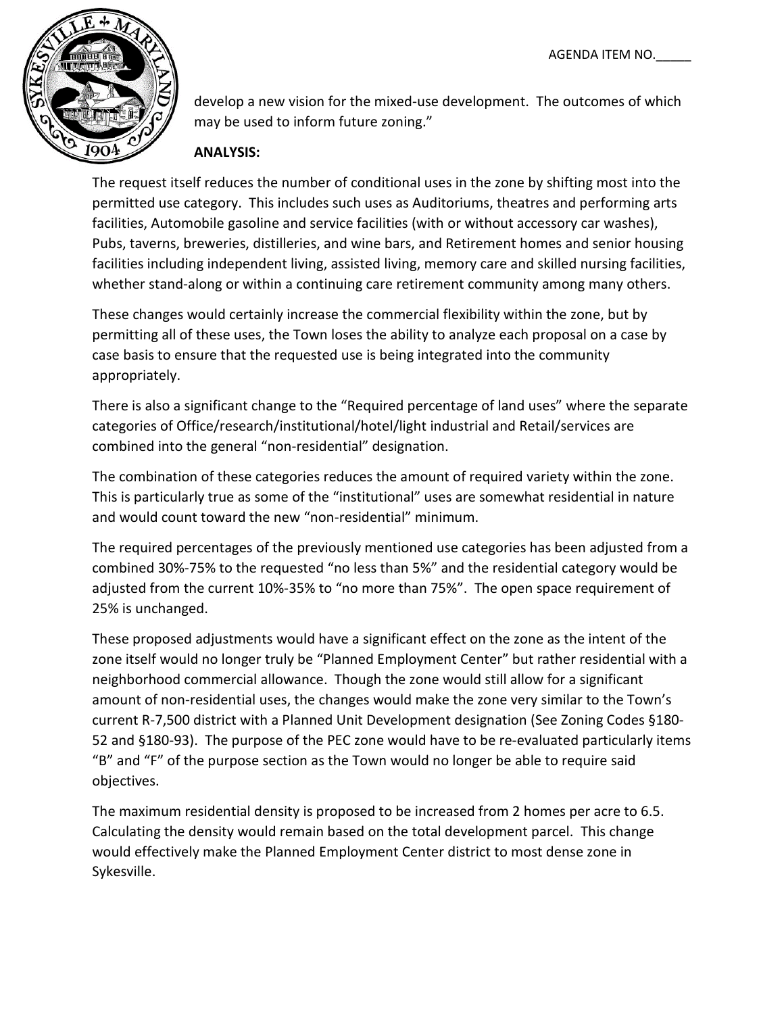

develop a new vision for the mixed-use development. The outcomes of which may be used to inform future zoning."

# **ANALYSIS:**

The request itself reduces the number of conditional uses in the zone by shifting most into the permitted use category. This includes such uses as Auditoriums, theatres and performing arts facilities, Automobile gasoline and service facilities (with or without accessory car washes), Pubs, taverns, breweries, distilleries, and wine bars, and Retirement homes and senior housing facilities including independent living, assisted living, memory care and skilled nursing facilities, whether stand-along or within a continuing care retirement community among many others.

These changes would certainly increase the commercial flexibility within the zone, but by permitting all of these uses, the Town loses the ability to analyze each proposal on a case by case basis to ensure that the requested use is being integrated into the community appropriately.

There is also a significant change to the "Required percentage of land uses" where the separate categories of Office/research/institutional/hotel/light industrial and Retail/services are combined into the general "non-residential" designation.

The combination of these categories reduces the amount of required variety within the zone. This is particularly true as some of the "institutional" uses are somewhat residential in nature and would count toward the new "non-residential" minimum.

The required percentages of the previously mentioned use categories has been adjusted from a combined 30%-75% to the requested "no less than 5%" and the residential category would be adjusted from the current 10%-35% to "no more than 75%". The open space requirement of 25% is unchanged.

These proposed adjustments would have a significant effect on the zone as the intent of the zone itself would no longer truly be "Planned Employment Center" but rather residential with a neighborhood commercial allowance. Though the zone would still allow for a significant amount of non-residential uses, the changes would make the zone very similar to the Town's current R-7,500 district with a Planned Unit Development designation (See Zoning Codes §180- 52 and §180-93). The purpose of the PEC zone would have to be re-evaluated particularly items "B" and "F" of the purpose section as the Town would no longer be able to require said objectives.

The maximum residential density is proposed to be increased from 2 homes per acre to 6.5. Calculating the density would remain based on the total development parcel. This change would effectively make the Planned Employment Center district to most dense zone in Sykesville.